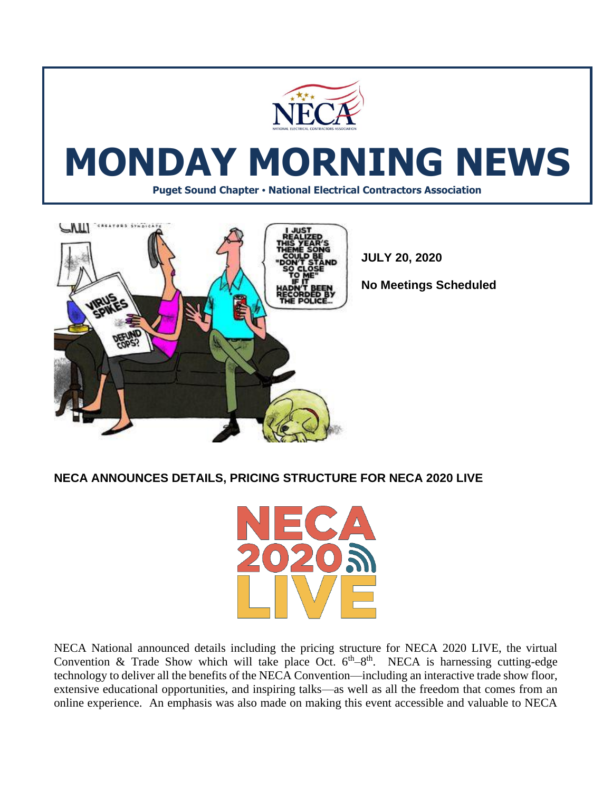



**JULY 20, 2020**

**No Meetings Scheduled** 

**NECA ANNOUNCES DETAILS, PRICING STRUCTURE FOR NECA 2020 LIVE**



NECA National announced details including the pricing structure for NECA 2020 LIVE, the virtual Convention & Trade Show which will take place Oct.  $6<sup>th</sup>-8<sup>th</sup>$ . NECA is harnessing cutting-edge technology to deliver all the benefits of the NECA Convention—including an interactive trade show floor, extensive educational opportunities, and inspiring talks—as well as all the freedom that comes from an online experience. An emphasis was also made on making this event accessible and valuable to NECA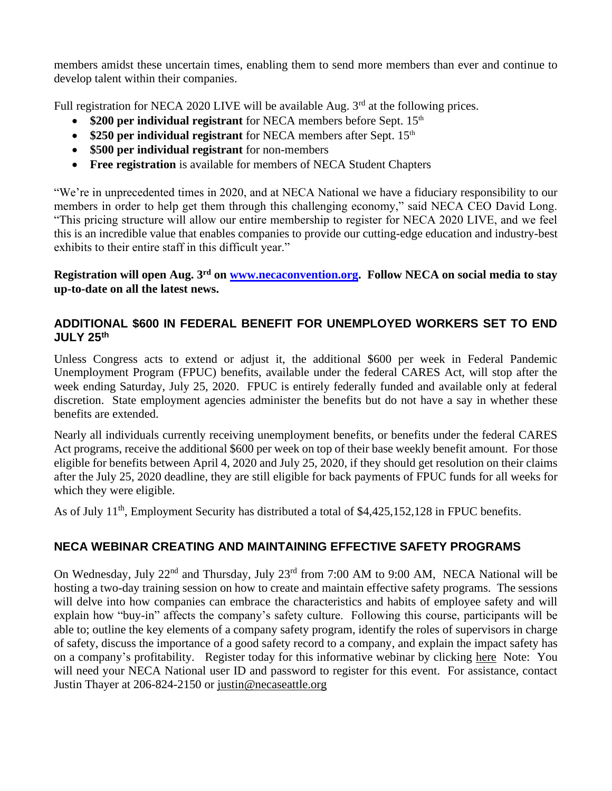members amidst these uncertain times, enabling them to send more members than ever and continue to develop talent within their companies.

Full registration for NECA 2020 LIVE will be available Aug.  $3<sup>rd</sup>$  at the following prices.

- \$200 per individual registrant for NECA members before Sept. 15<sup>th</sup>
- **\$250 per individual registrant** for NECA members after Sept. 15<sup>th</sup>
- **\$500 per individual registrant** for non-members
- **Free registration** is available for members of NECA Student Chapters

"We're in unprecedented times in 2020, and at NECA National we have a fiduciary responsibility to our members in order to help get them through this challenging economy," said NECA CEO David Long. "This pricing structure will allow our entire membership to register for NECA 2020 LIVE, and we feel this is an incredible value that enables companies to provide our cutting-edge education and industry-best exhibits to their entire staff in this difficult year."

#### **Registration will open Aug. 3rd on [www.necaconvention.org.](http://www.necaconvention.org/) Follow NECA on social media to stay up-to-date on all the latest news.**

### **ADDITIONAL \$600 IN FEDERAL BENEFIT FOR UNEMPLOYED WORKERS SET TO END JULY 25th**

Unless Congress acts to extend or adjust it, the additional \$600 per week in Federal Pandemic Unemployment Program (FPUC) benefits, available under the federal CARES Act, will stop after the week ending Saturday, July 25, 2020. FPUC is entirely federally funded and available only at federal discretion. State employment agencies administer the benefits but do not have a say in whether these benefits are extended.

Nearly all individuals currently receiving unemployment benefits, or benefits under the federal CARES Act programs, receive the additional \$600 per week on top of their base weekly benefit amount. For those eligible for benefits between April 4, 2020 and July 25, 2020, if they should get resolution on their claims after the July 25, 2020 deadline, they are still eligible for back payments of FPUC funds for all weeks for which they were eligible.

As of July 11<sup>th</sup>, Employment Security has distributed a total of \$4,425,152,128 in FPUC benefits.

## **NECA WEBINAR CREATING AND MAINTAINING EFFECTIVE SAFETY PROGRAMS**

On Wednesday, July 22nd and Thursday, July 23rd from 7:00 AM to 9:00 AM, NECA National will be hosting a two-day training session on how to create and maintain effective safety programs. The sessions will delve into how companies can embrace the characteristics and habits of employee safety and will explain how "buy-in" affects the company's safety culture. Following this course, participants will be able to; outline the key elements of a company safety program, identify the roles of supervisors in charge of safety, discuss the importance of a good safety record to a company, and explain the impact safety has on a company's profitability. Register today for this informative webinar by clicking [here](https://education.necanet.org/course/view.php?id=1016) Note: You will need your NECA National user ID and password to register for this event. For assistance, contact Justin Thayer at 206-824-2150 or [justin@necaseattle.org](mailto:justin@necaseattle.org)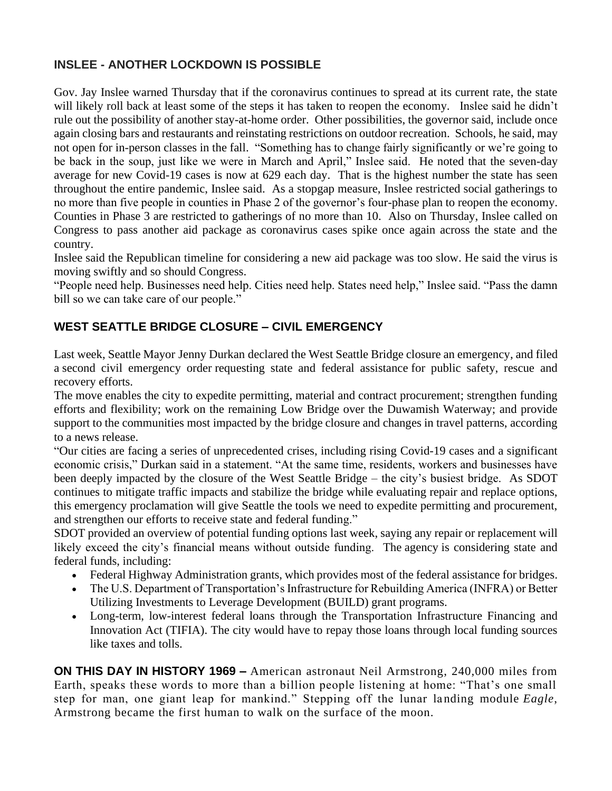# **INSLEE - ANOTHER LOCKDOWN IS POSSIBLE**

Gov. Jay Inslee warned Thursday that if the coronavirus continues to spread at its current rate, the state will likely roll back at least some of the steps it has taken to reopen the economy. Inslee said he didn't rule out the possibility of another stay-at-home order. Other possibilities, the governor said, include once again closing bars and restaurants and reinstating restrictions on outdoor recreation. Schools, he said, may not open for in-person classes in the fall. "Something has to change fairly significantly or we're going to be back in the soup, just like we were in March and April," Inslee said. He noted that the seven-day average for new Covid-19 cases is now at 629 each day. That is the highest number the state has seen throughout the entire pandemic, Inslee said. As a stopgap measure, Inslee restricted social gatherings to no more than five people in counties in Phase 2 of the governor's four-phase plan to reopen the economy. Counties in Phase 3 are restricted to gatherings of no more than 10. Also on Thursday, Inslee called on Congress to pass another aid package as coronavirus cases spike once again across the state and the country.

Inslee said the Republican timeline for considering a new aid package was too slow. He said the virus is moving swiftly and so should Congress.

"People need help. Businesses need help. Cities need help. States need help," Inslee said. "Pass the damn bill so we can take care of our people."

# **WEST SEATTLE BRIDGE CLOSURE – CIVIL EMERGENCY**

Last week, Seattle Mayor [Jenny Durkan](https://www.bizjournals.com/seattle/search/results?q=Jenny%20Durkan) [declared the West Seattle Bridge closure an emergency,](https://durkan.seattle.gov/wp-content/uploads/sites/9/2020/07/Proclamation-of-Civil-Emergency-West-Seattle-Bridge.pdf) and filed a second civil [emergency order](https://durkan.seattle.gov/wp-content/uploads/sites/9/2020/07/West-Seattle-Bridge-Emergency-Order-Requesting-Assistance.pdf) requesting state and federal assistance for public safety, rescue and recovery efforts.

The move enables the city to expedite permitting, material and contract procurement; strengthen funding efforts and flexibility; work on the remaining Low Bridge over the Duwamish Waterway; and provide support to the communities most impacted by the bridge closure and changes in travel patterns, according to a news release.

"Our cities are facing a series of unprecedented crises, including rising Covid-19 cases and a significant economic crisis," Durkan said in a statement. "At the same time, residents, workers and businesses have been deeply impacted by the closure of the West Seattle Bridge – the city's busiest bridge. As SDOT continues to mitigate traffic impacts and stabilize the bridge while evaluating repair and replace options, this emergency proclamation will give Seattle the tools we need to expedite permitting and procurement, and strengthen our efforts to receive state and federal funding."

SDOT provided an [overview of potential funding options](https://sdotblog.seattle.gov/2020/07/08/sdot-is-looking-into-every-possible-option-to-pay-for-repairing-or-replacing-the-west-seattle-high-rise-bridge/) last week, saying any repair or replacement will likely exceed the city's financial means without outside funding. The agency is considering state and federal funds, including:

- Federal Highway Administration grants, which provides most of the federal assistance for bridges.
- The U.S. Department of Transportation's Infrastructure for Rebuilding America (INFRA) or Better Utilizing Investments to Leverage Development (BUILD) grant programs.
- Long-term, low-interest federal loans through the Transportation Infrastructure Financing and Innovation Act (TIFIA). The city would have to repay those loans through local funding sources like taxes and tolls.

**ON THIS DAY IN HISTORY 1969 –** American astronaut [Neil Armstrong,](https://www.history.com/topics/neil-armstrong) 240,000 miles from Earth, speaks these words to more than a billion people listening at home: "That's one small step for man, one giant leap for mankind." Stepping off the lunar landing module *Eagle*, Armstrong became the first human to walk on the surface of the moon.